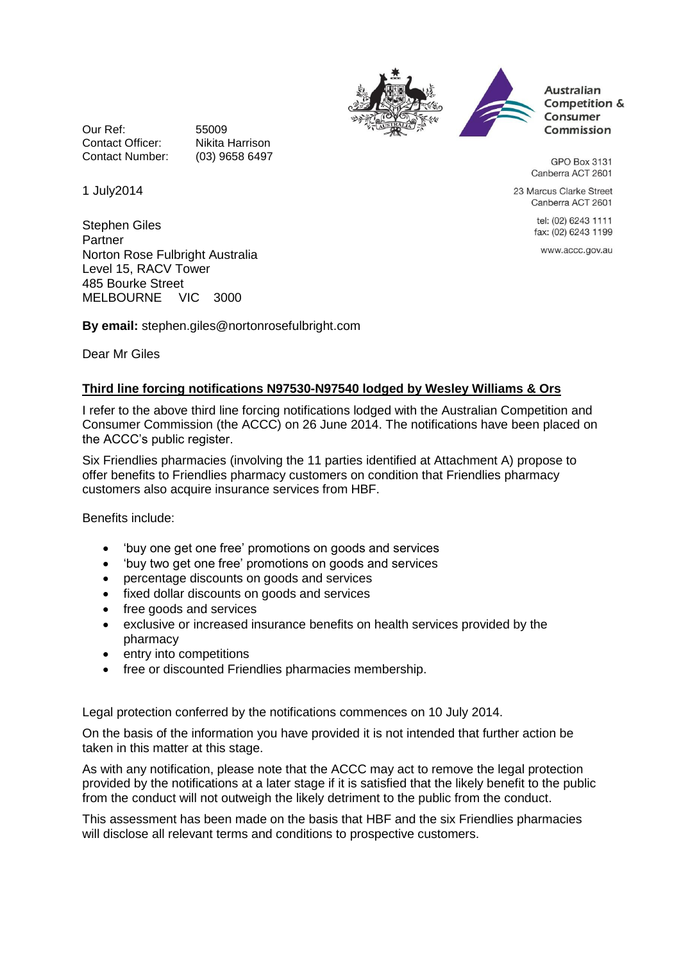



**Australian** Competition & Consumer Commission

**GPO Box 3131** Canberra ACT 2601

23 Marcus Clarke Street Canberra ACT 2601

> tel: (02) 6243 1111 fax: (02) 6243 1199

www.accc.gov.au

Our Ref: 55009 Contact Officer: Nikita Harrison Contact Number: (03) 9658 6497

1 July2014

Stephen Giles Partner Norton Rose Fulbright Australia Level 15, RACV Tower 485 Bourke Street MELBOURNE VIC 3000

**By email:** stephen.giles@nortonrosefulbright.com

Dear Mr Giles

## **Third line forcing notifications N97530-N97540 lodged by Wesley Williams & Ors**

I refer to the above third line forcing notifications lodged with the Australian Competition and Consumer Commission (the ACCC) on 26 June 2014. The notifications have been placed on the ACCC's public register.

Six Friendlies pharmacies (involving the 11 parties identified at Attachment A) propose to offer benefits to Friendlies pharmacy customers on condition that Friendlies pharmacy customers also acquire insurance services from HBF.

Benefits include:

- 'buy one get one free' promotions on goods and services
- 'buy two get one free' promotions on goods and services
- percentage discounts on goods and services
- fixed dollar discounts on goods and services
- free goods and services
- exclusive or increased insurance benefits on health services provided by the pharmacy
- entry into competitions
- free or discounted Friendlies pharmacies membership.

Legal protection conferred by the notifications commences on 10 July 2014.

On the basis of the information you have provided it is not intended that further action be taken in this matter at this stage.

As with any notification, please note that the ACCC may act to remove the legal protection provided by the notifications at a later stage if it is satisfied that the likely benefit to the public from the conduct will not outweigh the likely detriment to the public from the conduct.

This assessment has been made on the basis that HBF and the six Friendlies pharmacies will disclose all relevant terms and conditions to prospective customers.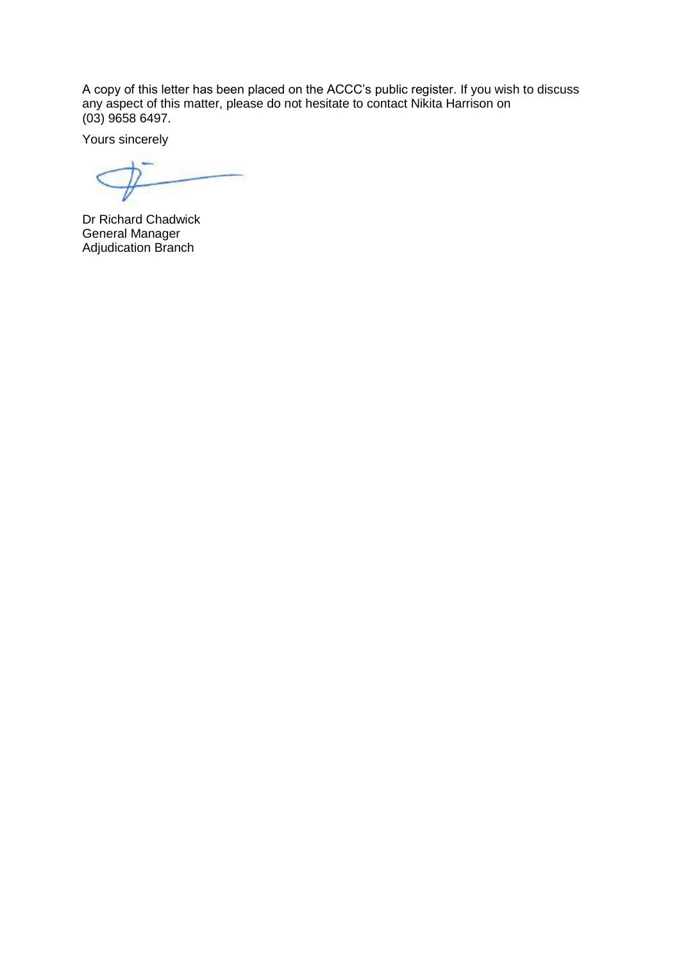A copy of this letter has been placed on the ACCC's public register. If you wish to discuss any aspect of this matter, please do not hesitate to contact Nikita Harrison on (03) 9658 6497.

Yours sincerely

Dr Richard Chadwick General Manager Adjudication Branch